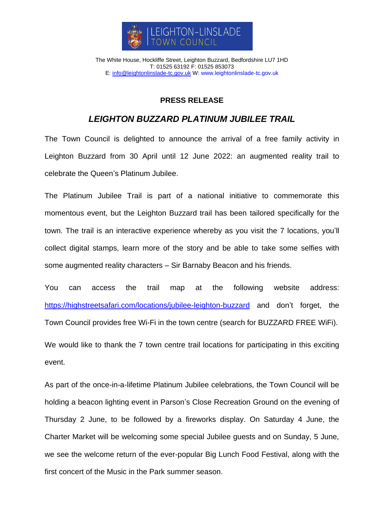

The White House, Hockliffe Street, Leighton Buzzard, Bedfordshire LU7 1HD T: 01525 63192 F: 01525 853073 E: [info@leightonlinslade-tc.gov.uk](mailto:bookings@leightonlinslade-tc.gov.uk) W: [www.leightonlinslade-tc.gov.uk](http://www.leightonlinslade-tc.gov.uk/)

## **PRESS RELEASE**

## *LEIGHTON BUZZARD PLATINUM JUBILEE TRAIL*

The Town Council is delighted to announce the arrival of a free family activity in Leighton Buzzard from 30 April until 12 June 2022: an augmented reality trail to celebrate the Queen's Platinum Jubilee.

The Platinum Jubilee Trail is part of a national initiative to commemorate this momentous event, but the Leighton Buzzard trail has been tailored specifically for the town. The trail is an interactive experience whereby as you visit the 7 locations, you'll collect digital stamps, learn more of the story and be able to take some selfies with some augmented reality characters – Sir Barnaby Beacon and his friends.

You can access the trail map at the following website address: <https://highstreetsafari.com/locations/jubilee-leighton-buzzard> and don't forget, the Town Council provides free Wi-Fi in the town centre (search for BUZZARD FREE WiFi).

We would like to thank the 7 town centre trail locations for participating in this exciting event.

As part of the once-in-a-lifetime Platinum Jubilee celebrations, the Town Council will be holding a beacon lighting event in Parson's Close Recreation Ground on the evening of Thursday 2 June, to be followed by a fireworks display. On Saturday 4 June, the Charter Market will be welcoming some special Jubilee guests and on Sunday, 5 June, we see the welcome return of the ever-popular Big Lunch Food Festival, along with the first concert of the Music in the Park summer season.